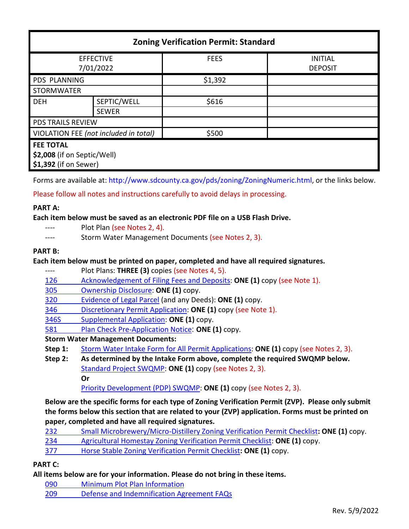| <b>Zoning Verification Permit: Standard</b>                              |              |             |                                  |
|--------------------------------------------------------------------------|--------------|-------------|----------------------------------|
| <b>EFFECTIVE</b><br>7/01/2022                                            |              | <b>FEES</b> | <b>INITIAL</b><br><b>DEPOSIT</b> |
| <b>PDS PLANNING</b>                                                      |              | \$1,392     |                                  |
| <b>STORMWATER</b>                                                        |              |             |                                  |
| <b>DEH</b>                                                               | SEPTIC/WELL  | \$616       |                                  |
|                                                                          | <b>SEWER</b> |             |                                  |
| <b>PDS TRAILS REVIEW</b>                                                 |              |             |                                  |
| VIOLATION FEE (not included in total)                                    |              | \$500       |                                  |
| <b>FEE TOTAL</b><br>\$2,008 (if on Septic/Well)<br>\$1,392 (if on Sewer) |              |             |                                  |

Forms are available at[: http://www.sdcounty.ca.gov/pds/zoning/ZoningNumeric.html,](http://www.sdcounty.ca.gov/pds/zoning/ZoningNumeric.html) or the links below.

Please follow all notes and instructions carefully to avoid delays in processing.

## **PART A:**

**Each item below must be saved as an electronic PDF file on a USB Flash Drive.**

- ---- Plot Plan (see Notes 2, 4).
- ---- Storm Water Management Documents (see Notes 2, 3).

## **PART B:**

## **Each item below must be printed on paper, completed and have all required signatures.**

- ---- Plot Plans: **THREE (3)** copies (see Notes 4, 5).
- [126 Acknowledgement of Filing Fees and Deposits:](http://www.sdcounty.ca.gov/pds/zoning/formfields/PDS-PLN-126.pdf) **ONE (1)** copy (see Note 1).
- [305 Ownership Disclosure:](http://www.sdcounty.ca.gov/pds/zoning/formfields/PDS-PLN-305.pdf) **ONE (1)** copy.
- [320 Evidence of Legal Parcel](http://www.sdcounty.ca.gov/pds/zoning/formfields/PDS-PLN-320.pdf) (and any Deeds): **ONE (1)** copy.
- 346 [Discretionary Permit Application:](http://www.sdcounty.ca.gov/pds/zoning/formfields/PDS-PLN-346.pdf) **ONE (1)** copy (see Note 1).
- [346S Supplemental Application:](http://www.sdcounty.ca.gov/pds/zoning/formfields/PDS-PLN-346S.pdf) **ONE (1)** copy.
- 581 [Plan Check Pre-Application Notice](http://www.sdcounty.ca.gov/pds/zoning/formfields/PDS-PLN-581.pdf): **ONE (1)** copy.

# **Storm Water Management Documents:**

- **Step 1:** [Storm Water Intake Form for All Permit Applications:](http://www.sandiegocounty.gov/content/dam/sdc/pds/zoning/formfields/SWQMP-Intake-Form.pdf) **ONE (1)** copy (see Notes 2, 3).
- **Step 2: As determined by the Intake Form above, complete the required SWQMP below.** [Standard Project SWQMP:](http://www.sandiegocounty.gov/content/dam/sdc/pds/zoning/formfields/SWQMP-Standard.pdf) **ONE (1)** copy (see Notes 2, 3). **Or**

[Priority Development \(PDP\) SWQMP:](https://www.sandiegocounty.gov/content/sdc/dpw/watersheds/DevelopmentandConstruction/BMP_Design_Manual.html) **ONE (1)** copy (see Notes 2, 3).

**Below are the specific forms for each type of Zoning Verification Permit (ZVP). Please only submit the forms below this section that are related to your (ZVP) application. Forms must be printed on paper, completed and have all required signatures.**

| 232 | Small Microbrewery/Micro-Distillery Zoning Verification Permit Checklist: ONE (1) copy. |
|-----|-----------------------------------------------------------------------------------------|
| 234 | <b>Agricultural Homestay Zoning Verification Permit Checklist: ONE (1) copy.</b>        |
| 377 | Horse Stable Zoning Verification Permit Checklist: ONE (1) copy.                        |

# **PART C:**

**All items below are for your information. Please do not bring in these items.**

- 090 [Minimum Plot Plan Information](http://www.sdcounty.ca.gov/pds/docs/pds090.pdf)
- 209 [Defense and Indemnification Agreement FAQs](http://www.sdcounty.ca.gov/pds/zoning/formfields/PDS-PLN-209.pdf)